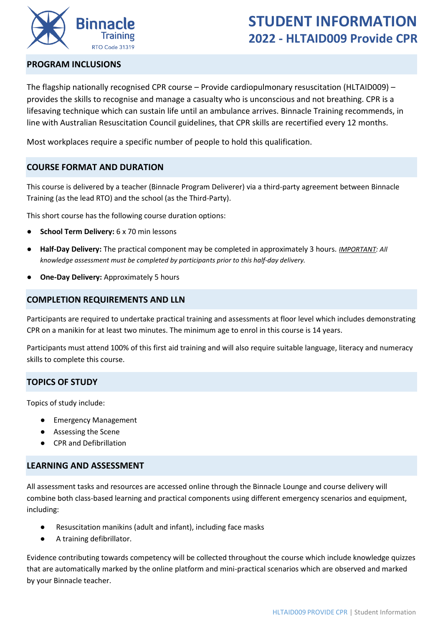

# **STUDENT INFORMATION 2022 - HLTAID009 Provide CPR**

## **PROGRAM INCLUSIONS**

The flagship nationally recognised CPR course – Provide cardiopulmonary resuscitation (HLTAID009) – provides the skills to recognise and manage a casualty who is unconscious and not breathing. CPR is a lifesaving technique which can sustain life until an ambulance arrives. Binnacle Training recommends, in line with Australian Resuscitation Council guidelines, that CPR skills are recertified every 12 months.

Most workplaces require a specific number of people to hold this qualification.

# **COURSE FORMAT AND DURATION**

This course is delivered by a teacher (Binnacle Program Deliverer) via a third-party agreement between Binnacle Training (as the lead RTO) and the school (as the Third-Party).

This short course has the following course duration options:

- **School Term Delivery:** 6 x 70 min lessons
- **Half-Day Delivery:** The practical component may be completed in approximately 3 hours. *IMPORTANT: All knowledge assessment must be completed by participants prior to this half-day delivery.*
- **One-Day Delivery: Approximately 5 hours**

## **COMPLETION REQUIREMENTS AND LLN**

Participants are required to undertake practical training and assessments at floor level which includes demonstrating CPR on a manikin for at least two minutes. The minimum age to enrol in this course is 14 years.

Participants must attend 100% of this first aid training and will also require suitable language, literacy and numeracy skills to complete this course.

## **TOPICS OF STUDY**

Topics of study include:

- Emergency Management
- Assessing the Scene
- CPR and Defibrillation

### **LEARNING AND ASSESSMENT**

All assessment tasks and resources are accessed online through the Binnacle Lounge and course delivery will combine both class-based learning and practical components using different emergency scenarios and equipment, including:

- Resuscitation manikins (adult and infant), including face masks
- A training defibrillator.

Evidence contributing towards competency will be collected throughout the course which include knowledge quizzes that are automatically marked by the online platform and mini-practical scenarios which are observed and marked by your Binnacle teacher.